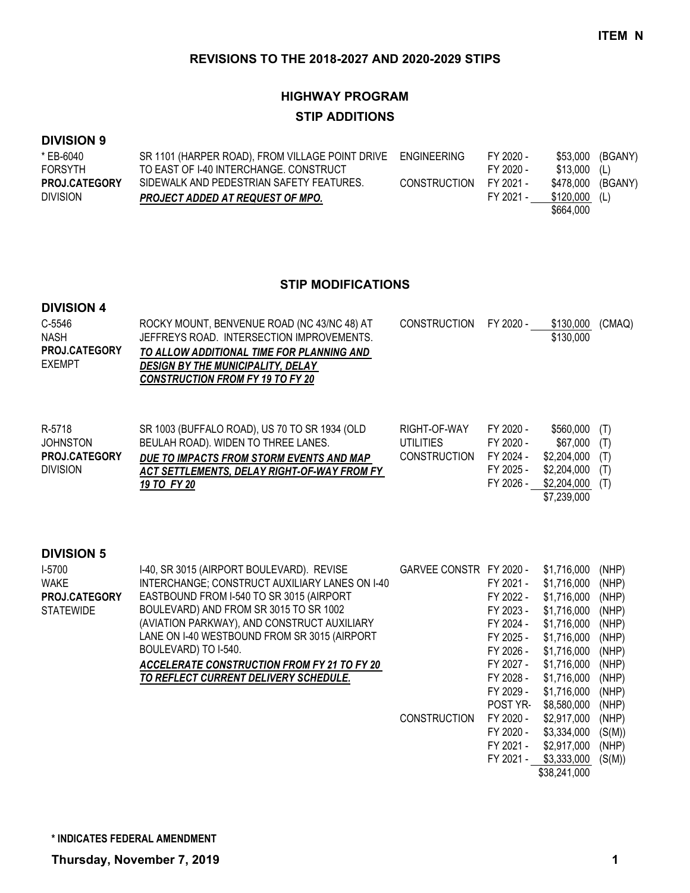# **HIGHWAY PROGRAM STIP ADDITIONS**

### **DIVISION 9**

| * EB-6040            | SR 1101 (HARPER ROAD), FROM VILLAGE POINT DRIVE ENGINEERING |                        | FY 2020 - | \$53.000      | (BGANY) |
|----------------------|-------------------------------------------------------------|------------------------|-----------|---------------|---------|
| <b>FORSYTH</b>       | TO EAST OF I-40 INTERCHANGE. CONSTRUCT                      |                        | FY 2020 - | $$13.000$ (L) |         |
| <b>PROJ.CATEGORY</b> | SIDEWALK AND PEDESTRIAN SAFETY FEATURES.                    | CONSTRUCTION FY 2021 - |           | \$478.000     | (BGANY) |
| <b>DIVISION</b>      | <b>PROJECT ADDED AT REQUEST OF MPO.</b>                     |                        | FY 2021 - | \$120.000     | (L)     |
|                      |                                                             |                        |           | \$664.000     |         |

#### **STIP MODIFICATIONS**

#### **DIVISION 4**

| C-5546               | ROCKY MOUNT, BENVENUE ROAD (NC 43/NC 48) AT | CONSTRUCTION FY 2020 - | \$130,000 | (CMAQ) |
|----------------------|---------------------------------------------|------------------------|-----------|--------|
| <b>NASH</b>          | JEFFREYS ROAD. INTERSECTION IMPROVEMENTS.   |                        | \$130,000 |        |
| <b>PROJ.CATEGORY</b> | TO ALLOW ADDITIONAL TIME FOR PLANNING AND   |                        |           |        |
| <b>EXEMPT</b>        | <b>DESIGN BY THE MUNICIPALITY, DELAY</b>    |                        |           |        |
|                      | <b>CONSTRUCTION FROM FY 19 TO FY 20</b>     |                        |           |        |
|                      |                                             |                        |           |        |

| R-5718               | SR 1003 (BUFFALO ROAD), US 70 TO SR 1934 (OLD | RIGHT-OF-WAY        | FY 2020 - | \$560,000 (T)                                       |  |
|----------------------|-----------------------------------------------|---------------------|-----------|-----------------------------------------------------|--|
| JOHNSTON             | BEULAH ROAD). WIDEN TO THREE LANES.           | UTILITIES           | FY 2020 - | \$67,000 (T)                                        |  |
| <b>PROJ.CATEGORY</b> | DUE TO IMPACTS FROM STORM EVENTS AND MAP      | <b>CONSTRUCTION</b> | FY 2024 - | \$2,204,000 (T)                                     |  |
| <b>DIVISION</b>      | ACT SETTLEMENTS. DELAY RIGHT-OF-WAY FROM FY   |                     | FY 2025 - | \$2,204,000 (T)                                     |  |
|                      | 19 TO FY 20                                   |                     | FY 2026 - | \$2,204,000 (T)                                     |  |
|                      |                                               |                     |           | $\lambda = \lambda \lambda \lambda \lambda \lambda$ |  |

\$7,239,000

### **DIVISION 5**

| $1-5700$         | I-40, SR 3015 (AIRPORT BOULEVARD). REVISE          | GARVEE CONSTR FY 2020 - |                 | \$1,716,000  | (NHP)  |
|------------------|----------------------------------------------------|-------------------------|-----------------|--------------|--------|
| <b>WAKE</b>      | INTERCHANGE; CONSTRUCT AUXILIARY LANES ON I-40     |                         | FY 2021 -       | \$1,716,000  | (NHP)  |
| PROJ.CATEGORY    | EASTBOUND FROM I-540 TO SR 3015 (AIRPORT           |                         | FY 2022 -       | \$1,716,000  | (NHP)  |
| <b>STATEWIDE</b> | BOULEVARD) AND FROM SR 3015 TO SR 1002             |                         | FY 2023 -       | \$1,716,000  | (NHP)  |
|                  | (AVIATION PARKWAY), AND CONSTRUCT AUXILIARY        |                         | FY 2024 -       | \$1,716,000  | (NHP)  |
|                  | LANE ON I-40 WESTBOUND FROM SR 3015 (AIRPORT       |                         | FY 2025 -       | \$1,716,000  | (NHP)  |
|                  | BOULEVARD) TO I-540.                               |                         | FY 2026 -       | \$1,716,000  | (NHP)  |
|                  | <b>ACCELERATE CONSTRUCTION FROM FY 21 TO FY 20</b> |                         | FY 2027 -       | \$1,716,000  | (NHP)  |
|                  | TO REFLECT CURRENT DELIVERY SCHEDULE.              |                         | FY 2028 -       | \$1.716.000  | (NHP)  |
|                  |                                                    |                         | FY 2029 -       | \$1,716,000  | (NHP)  |
|                  |                                                    |                         | <b>POST YR-</b> | \$8,580,000  | (NHP)  |
|                  |                                                    | <b>CONSTRUCTION</b>     | FY 2020 -       | \$2,917,000  | (NHP)  |
|                  |                                                    |                         | FY 2020 -       | \$3,334,000  | (S(M)) |
|                  |                                                    |                         | FY 2021 -       | \$2,917,000  | (NHP)  |
|                  |                                                    |                         | FY 2021 -       | \$3,333,000  | (S(M)) |
|                  |                                                    |                         |                 | \$38,241,000 |        |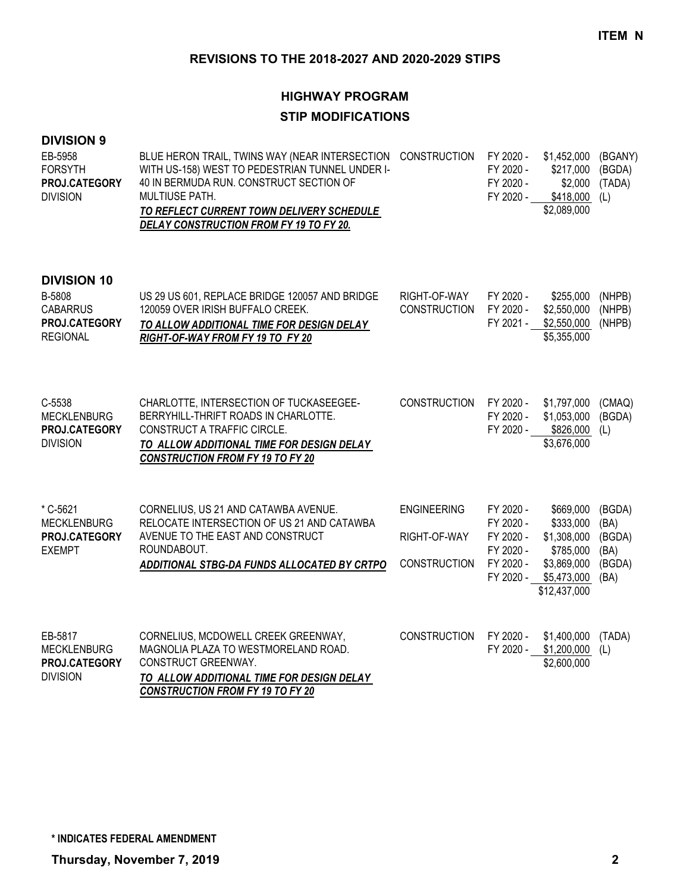# **HIGHWAY PROGRAM STIP MODIFICATIONS**

### **DIVISION 9**

| EB-5958<br><b>FORSYTH</b><br>PROJ.CATEGORY<br><b>DIVISION</b>                       | BLUE HERON TRAIL, TWINS WAY (NEAR INTERSECTION CONSTRUCTION<br>WITH US-158) WEST TO PEDESTRIAN TUNNEL UNDER I-<br>40 IN BERMUDA RUN. CONSTRUCT SECTION OF<br>MULTIUSE PATH.<br>TO REFLECT CURRENT TOWN DELIVERY SCHEDULE<br>DELAY CONSTRUCTION FROM FY 19 TO FY 20. |                                                           | FY 2020 -<br>FY 2020 -<br>FY 2020 -<br>FY 2020 -                           | \$1,452,000<br>\$217,000<br>\$2,000<br>\$418,000<br>\$2,089,000                                  | (BGANY)<br>(BGDA)<br>(TADA)<br>(L)                 |
|-------------------------------------------------------------------------------------|---------------------------------------------------------------------------------------------------------------------------------------------------------------------------------------------------------------------------------------------------------------------|-----------------------------------------------------------|----------------------------------------------------------------------------|--------------------------------------------------------------------------------------------------|----------------------------------------------------|
| <b>DIVISION 10</b><br>B-5808<br><b>CABARRUS</b><br>PROJ.CATEGORY<br><b>REGIONAL</b> | US 29 US 601, REPLACE BRIDGE 120057 AND BRIDGE<br>120059 OVER IRISH BUFFALO CREEK.<br>TO ALLOW ADDITIONAL TIME FOR DESIGN DELAY<br>RIGHT-OF-WAY FROM FY 19 TO FY 20                                                                                                 | RIGHT-OF-WAY<br><b>CONSTRUCTION</b>                       | FY 2020 -<br>FY 2020 -<br>FY 2021 -                                        | \$255,000<br>\$2,550,000<br>\$2,550,000<br>\$5,355,000                                           | (NHPB)<br>(NHPB)<br>(NHPB)                         |
| C-5538<br><b>MECKLENBURG</b><br>PROJ.CATEGORY<br><b>DIVISION</b>                    | CHARLOTTE, INTERSECTION OF TUCKASEEGEE-<br>BERRYHILL-THRIFT ROADS IN CHARLOTTE.<br>CONSTRUCT A TRAFFIC CIRCLE.<br>TO ALLOW ADDITIONAL TIME FOR DESIGN DELAY<br><b>CONSTRUCTION FROM FY 19 TO FY 20</b>                                                              | <b>CONSTRUCTION</b>                                       | FY 2020 -<br>FY 2020 -<br>FY 2020 -                                        | \$1,797,000<br>\$1,053,000<br>\$826,000<br>\$3,676,000                                           | (CMAQ)<br>(BGDA)<br>(L)                            |
| * C-5621<br><b>MECKLENBURG</b><br>PROJ.CATEGORY<br><b>EXEMPT</b>                    | CORNELIUS, US 21 AND CATAWBA AVENUE.<br>RELOCATE INTERSECTION OF US 21 AND CATAWBA<br>AVENUE TO THE EAST AND CONSTRUCT<br>ROUNDABOUT.<br>ADDITIONAL STBG-DA FUNDS ALLOCATED BY CRTPO                                                                                | <b>ENGINEERING</b><br>RIGHT-OF-WAY<br><b>CONSTRUCTION</b> | FY 2020 -<br>FY 2020 -<br>FY 2020 -<br>FY 2020 -<br>FY 2020 -<br>FY 2020 - | \$669,000<br>\$333,000<br>\$1,308,000<br>\$785,000<br>\$3,869,000<br>\$5,473,000<br>\$12,437,000 | (BGDA)<br>(BA)<br>(BGDA)<br>(BA)<br>(BGDA)<br>(BA) |
| EB-5817<br><b>MECKLENBURG</b><br>PROJ.CATEGORY<br><b>DIVISION</b>                   | CORNELIUS, MCDOWELL CREEK GREENWAY,<br>MAGNOLIA PLAZA TO WESTMORELAND ROAD.<br>CONSTRUCT GREENWAY.<br>TO ALLOW ADDITIONAL TIME FOR DESIGN DELAY<br><b>CONSTRUCTION FROM FY 19 TO FY 20</b>                                                                          | <b>CONSTRUCTION</b>                                       | FY 2020 -<br>FY 2020 -                                                     | \$1,400,000<br>\$1,200,000<br>\$2,600,000                                                        | (TADA)<br>(L)                                      |

**Thursday, November 7, 2019 2**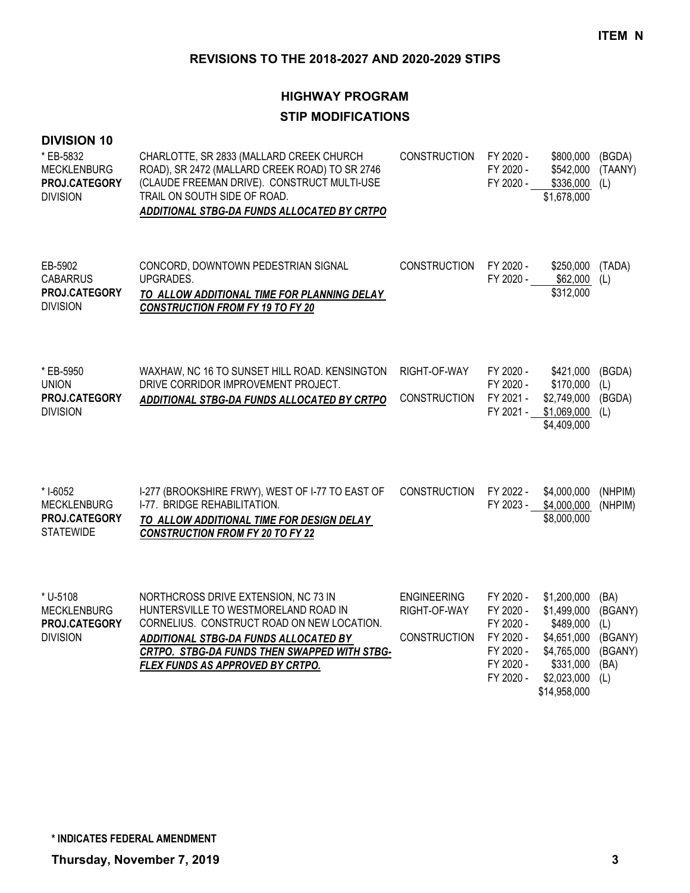# **HIGHWAY PROGRAM STIP MODIFICATIONS**

| <b>DIVISION 10</b><br>* EB-5832<br><b>MECKLENBURG</b><br>PROJ.CATEGORY<br><b>DIVISION</b> | CHARLOTTE, SR 2833 (MALLARD CREEK CHURCH<br>ROAD), SR 2472 (MALLARD CREEK ROAD) TO SR 2746<br>(CLAUDE FREEMAN DRIVE). CONSTRUCT MULTI-USE<br>TRAIL ON SOUTH SIDE OF ROAD.<br>ADDITIONAL STBG-DA FUNDS ALLOCATED BY CRTPO                                | <b>CONSTRUCTION</b>                                       | FY 2020 -<br>FY 2020 -<br>FY 2020 -                                                     | \$800,000<br>\$542,000<br>\$336,000<br>\$1,678,000                                                                | (BGDA)<br>(TAANY)<br>(L)                                    |
|-------------------------------------------------------------------------------------------|---------------------------------------------------------------------------------------------------------------------------------------------------------------------------------------------------------------------------------------------------------|-----------------------------------------------------------|-----------------------------------------------------------------------------------------|-------------------------------------------------------------------------------------------------------------------|-------------------------------------------------------------|
| EB-5902<br><b>CABARRUS</b><br>PROJ.CATEGORY<br><b>DIVISION</b>                            | CONCORD, DOWNTOWN PEDESTRIAN SIGNAL<br>UPGRADES.<br>TO ALLOW ADDITIONAL TIME FOR PLANNING DELAY<br><b>CONSTRUCTION FROM FY 19 TO FY 20</b>                                                                                                              | <b>CONSTRUCTION</b>                                       | FY 2020 -<br>FY 2020 -                                                                  | \$250,000<br>\$62,000<br>\$312,000                                                                                | (TADA)<br>(L)                                               |
| * EB-5950<br><b>UNION</b><br>PROJ.CATEGORY<br><b>DIVISION</b>                             | WAXHAW, NC 16 TO SUNSET HILL ROAD. KENSINGTON<br>DRIVE CORRIDOR IMPROVEMENT PROJECT.<br>ADDITIONAL STBG-DA FUNDS ALLOCATED BY CRTPO                                                                                                                     | RIGHT-OF-WAY<br>CONSTRUCTION                              | FY 2020 -<br>FY 2020 -<br>FY 2021 -<br>FY 2021 -                                        | \$421,000<br>\$170,000<br>\$2,749,000<br>\$1,069,000<br>\$4,409,000                                               | (BGDA)<br>(L)<br>(BGDA)<br>(L)                              |
| * I-6052<br><b>MECKLENBURG</b><br>PROJ.CATEGORY<br><b>STATEWIDE</b>                       | I-277 (BROOKSHIRE FRWY), WEST OF I-77 TO EAST OF<br>I-77. BRIDGE REHABILITATION.<br>TO ALLOW ADDITIONAL TIME FOR DESIGN DELAY<br><b>CONSTRUCTION FROM FY 20 TO FY 22</b>                                                                                | <b>CONSTRUCTION</b>                                       | FY 2022 -<br>FY 2023 -                                                                  | \$4,000,000<br>\$4,000,000<br>\$8,000,000                                                                         | (NHPIM)<br>(NHPIM)                                          |
| * U-5108<br><b>MECKLENBURG</b><br>PROJ.CATEGORY<br><b>DIVISION</b>                        | NORTHCROSS DRIVE EXTENSION, NC 73 IN<br>HUNTERSVILLE TO WESTMORELAND ROAD IN<br>CORNELIUS. CONSTRUCT ROAD ON NEW LOCATION.<br>ADDITIONAL STBG-DA FUNDS ALLOCATED BY<br>CRTPO. STBG-DA FUNDS THEN SWAPPED WITH STBG-<br>FLEX FUNDS AS APPROVED BY CRTPO. | <b>ENGINEERING</b><br>RIGHT-OF-WAY<br><b>CONSTRUCTION</b> | FY 2020 -<br>FY 2020 -<br>FY 2020 -<br>FY 2020 -<br>FY 2020 -<br>FY 2020 -<br>FY 2020 - | \$1,200,000<br>\$1,499,000<br>\$489,000<br>\$4,651,000<br>\$4,765,000<br>\$331,000<br>\$2,023,000<br>\$14,958,000 | (BA)<br>(BGANY)<br>(L)<br>(BGANY)<br>(BGANY)<br>(BA)<br>(L) |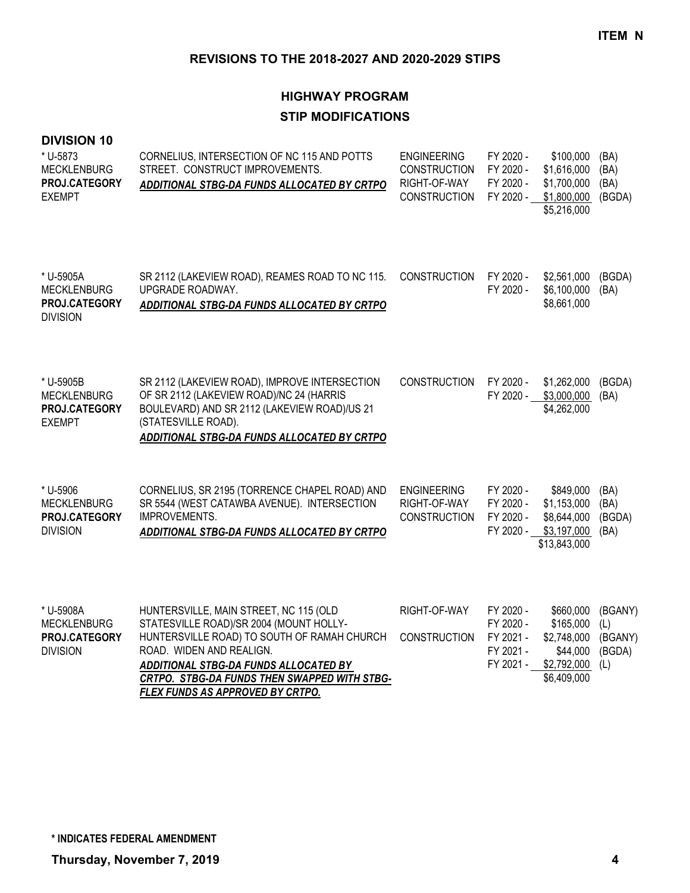# **HIGHWAY PROGRAM STIP MODIFICATIONS**

#### **DIVISION 10**

| * U-5873<br><b>MECKLENBURG</b><br>PROJ.CATEGORY<br><b>EXEMPT</b>    | CORNELIUS, INTERSECTION OF NC 115 AND POTTS<br>STREET. CONSTRUCT IMPROVEMENTS.<br>ADDITIONAL STBG-DA FUNDS ALLOCATED BY CRTPO                                                                                                                                                             | <b>ENGINEERING</b><br><b>CONSTRUCTION</b><br>RIGHT-OF-WAY<br><b>CONSTRUCTION</b> | FY 2020 -<br>FY 2020 -<br>FY 2020 -<br>FY 2020 -              | \$100,000<br>\$1,616,000<br>\$1,700,000<br>\$1,800,000<br>\$5,216,000           | (BA)<br>(BA)<br>(BA)<br>(BGDA)             |
|---------------------------------------------------------------------|-------------------------------------------------------------------------------------------------------------------------------------------------------------------------------------------------------------------------------------------------------------------------------------------|----------------------------------------------------------------------------------|---------------------------------------------------------------|---------------------------------------------------------------------------------|--------------------------------------------|
| * U-5905A<br><b>MECKLENBURG</b><br>PROJ.CATEGORY<br><b>DIVISION</b> | SR 2112 (LAKEVIEW ROAD), REAMES ROAD TO NC 115.<br>UPGRADE ROADWAY.<br>ADDITIONAL STBG-DA FUNDS ALLOCATED BY CRTPO                                                                                                                                                                        | <b>CONSTRUCTION</b>                                                              | FY 2020 -<br>FY 2020 -                                        | \$2,561,000<br>\$6,100,000<br>\$8,661,000                                       | (BGDA)<br>(BA)                             |
| * U-5905B<br><b>MECKLENBURG</b><br>PROJ.CATEGORY<br><b>EXEMPT</b>   | SR 2112 (LAKEVIEW ROAD), IMPROVE INTERSECTION<br>OF SR 2112 (LAKEVIEW ROAD)/NC 24 (HARRIS<br>BOULEVARD) AND SR 2112 (LAKEVIEW ROAD)/US 21<br>(STATESVILLE ROAD).<br>ADDITIONAL STBG-DA FUNDS ALLOCATED BY CRTPO                                                                           | <b>CONSTRUCTION</b>                                                              | FY 2020 -<br>FY 2020 -                                        | \$1,262,000<br>\$3,000,000<br>\$4,262,000                                       | (BGDA)<br>(BA)                             |
| * U-5906<br><b>MECKLENBURG</b><br>PROJ.CATEGORY<br><b>DIVISION</b>  | CORNELIUS, SR 2195 (TORRENCE CHAPEL ROAD) AND<br>SR 5544 (WEST CATAWBA AVENUE). INTERSECTION<br><b>IMPROVEMENTS.</b><br>ADDITIONAL STBG-DA FUNDS ALLOCATED BY CRTPO                                                                                                                       | <b>ENGINEERING</b><br>RIGHT-OF-WAY<br><b>CONSTRUCTION</b>                        | FY 2020 -<br>FY 2020 -<br>FY 2020 -<br>FY 2020 -              | \$849,000<br>\$1,153,000<br>\$8,644,000<br>\$3,197,000<br>\$13,843,000          | (BA)<br>(BA)<br>(BGDA)<br>(BA)             |
| * U-5908A<br><b>MECKLENBURG</b><br>PROJ.CATEGORY<br><b>DIVISION</b> | HUNTERSVILLE, MAIN STREET, NC 115 (OLD<br>STATESVILLE ROAD)/SR 2004 (MOUNT HOLLY-<br>HUNTERSVILLE ROAD) TO SOUTH OF RAMAH CHURCH<br>ROAD. WIDEN AND REALIGN.<br>ADDITIONAL STBG-DA FUNDS ALLOCATED BY<br>CRTPO. STBG-DA FUNDS THEN SWAPPED WITH STBG-<br>FLEX FUNDS AS APPROVED BY CRTPO. | RIGHT-OF-WAY<br><b>CONSTRUCTION</b>                                              | FY 2020 -<br>FY 2020 -<br>FY 2021 -<br>FY 2021 -<br>FY 2021 - | \$660,000<br>\$165,000<br>\$2,748,000<br>\$44,000<br>\$2,792,000<br>\$6,409,000 | (BGANY)<br>(L)<br>(BGANY)<br>(BGDA)<br>(L) |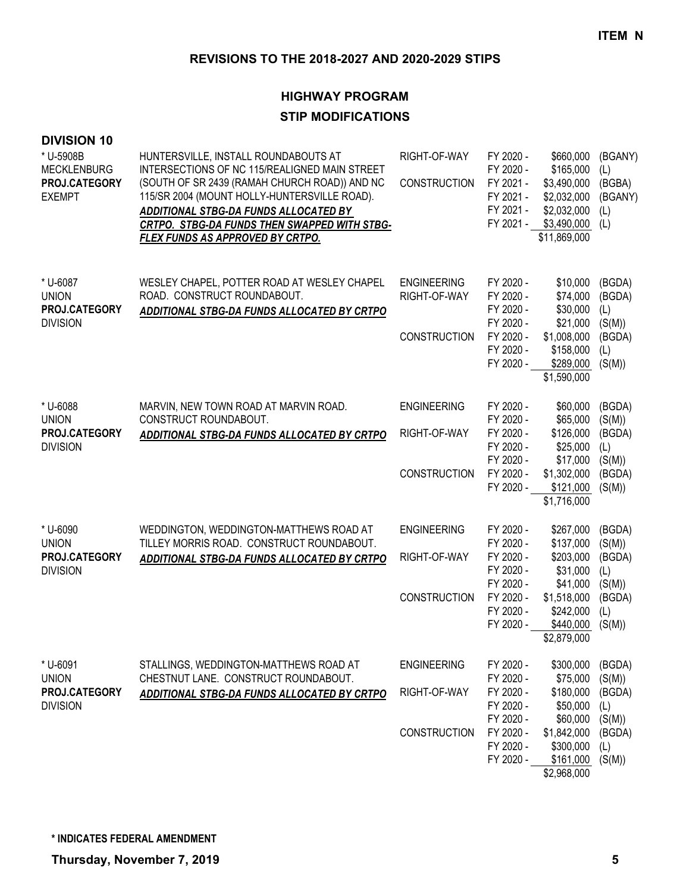# **HIGHWAY PROGRAM STIP MODIFICATIONS**

| <b>DIVISION 10</b><br>* U-5908B<br><b>MECKLENBURG</b><br>PROJ.CATEGORY<br><b>EXEMPT</b> | HUNTERSVILLE, INSTALL ROUNDABOUTS AT<br>INTERSECTIONS OF NC 115/REALIGNED MAIN STREET<br>(SOUTH OF SR 2439 (RAMAH CHURCH ROAD)) AND NC<br>115/SR 2004 (MOUNT HOLLY-HUNTERSVILLE ROAD).<br>ADDITIONAL STBG-DA FUNDS ALLOCATED BY<br>CRTPO. STBG-DA FUNDS THEN SWAPPED WITH STBG-<br>FLEX FUNDS AS APPROVED BY CRTPO. | RIGHT-OF-WAY<br>CONSTRUCTION                              | FY 2020 -<br>FY 2020 -<br>FY 2021 -<br>FY 2021 -<br>FY 2021 -<br>FY 2021 -                           | \$660,000<br>\$165,000<br>\$3,490,000<br>\$2,032,000<br>\$2,032,000<br>\$3,490,000<br>\$11,869,000                  | (BGANY)<br>(L)<br>(BGBA)<br>(BGANY)<br>(L)<br>(L)                      |
|-----------------------------------------------------------------------------------------|---------------------------------------------------------------------------------------------------------------------------------------------------------------------------------------------------------------------------------------------------------------------------------------------------------------------|-----------------------------------------------------------|------------------------------------------------------------------------------------------------------|---------------------------------------------------------------------------------------------------------------------|------------------------------------------------------------------------|
| * U-6087<br><b>UNION</b><br>PROJ.CATEGORY<br><b>DIVISION</b>                            | WESLEY CHAPEL, POTTER ROAD AT WESLEY CHAPEL<br>ROAD. CONSTRUCT ROUNDABOUT.<br>ADDITIONAL STBG-DA FUNDS ALLOCATED BY CRTPO                                                                                                                                                                                           | <b>ENGINEERING</b><br>RIGHT-OF-WAY<br><b>CONSTRUCTION</b> | FY 2020 -<br>FY 2020 -<br>FY 2020 -<br>FY 2020 -<br>FY 2020 -<br>FY 2020 -<br>FY 2020 -              | \$10,000<br>\$74,000<br>\$30,000<br>\$21,000<br>\$1,008,000<br>\$158,000<br>\$289,000<br>\$1,590,000                | (BGDA)<br>(BGDA)<br>(L)<br>(S(M))<br>(BGDA)<br>(L)<br>(S(M))           |
| * U-6088<br><b>UNION</b><br><b>PROJ.CATEGORY</b><br><b>DIVISION</b>                     | MARVIN, NEW TOWN ROAD AT MARVIN ROAD.<br>CONSTRUCT ROUNDABOUT.<br>ADDITIONAL STBG-DA FUNDS ALLOCATED BY CRTPO                                                                                                                                                                                                       | <b>ENGINEERING</b><br>RIGHT-OF-WAY<br><b>CONSTRUCTION</b> | FY 2020 -<br>FY 2020 -<br>FY 2020 -<br>FY 2020 -<br>FY 2020 -<br>FY 2020 -<br>FY 2020 -              | \$60,000<br>\$65,000<br>\$126,000<br>\$25,000<br>\$17,000<br>\$1,302,000<br>\$121,000<br>\$1,716,000                | (BGDA)<br>(S(M))<br>(BGDA)<br>(L)<br>(S(M))<br>(BGDA)<br>(S(M))        |
| * U-6090<br><b>UNION</b><br>PROJ.CATEGORY<br><b>DIVISION</b>                            | WEDDINGTON, WEDDINGTON-MATTHEWS ROAD AT<br>TILLEY MORRIS ROAD. CONSTRUCT ROUNDABOUT.<br><b>ADDITIONAL STBG-DA FUNDS ALLOCATED BY CRTPO</b>                                                                                                                                                                          | <b>ENGINEERING</b><br>RIGHT-OF-WAY<br><b>CONSTRUCTION</b> | FY 2020 -<br>FY 2020 -<br>FY 2020 -<br>FY 2020 -<br>FY 2020 -<br>FY 2020 -<br>FY 2020 -<br>FY 2020 - | \$267,000<br>\$137,000<br>\$203,000<br>\$31,000<br>\$41,000<br>\$1,518,000<br>\$242,000<br>\$440,000<br>\$2,879,000 | (BGDA)<br>(S(M))<br>(BGDA)<br>(L)<br>(S(M))<br>(BGDA)<br>(L)<br>(S(M)) |
| * U-6091<br><b>UNION</b><br>PROJ.CATEGORY<br><b>DIVISION</b>                            | STALLINGS, WEDDINGTON-MATTHEWS ROAD AT<br>CHESTNUT LANE. CONSTRUCT ROUNDABOUT.<br>ADDITIONAL STBG-DA FUNDS ALLOCATED BY CRTPO                                                                                                                                                                                       | <b>ENGINEERING</b><br>RIGHT-OF-WAY<br><b>CONSTRUCTION</b> | FY 2020 -<br>FY 2020 -<br>FY 2020 -<br>FY 2020 -<br>FY 2020 -<br>FY 2020 -<br>FY 2020 -<br>FY 2020 - | \$300,000<br>\$75,000<br>\$180,000<br>\$50,000<br>\$60,000<br>\$1,842,000<br>\$300,000<br>\$161,000<br>\$2,968,000  | (BGDA)<br>(S(M))<br>(BGDA)<br>(L)<br>(S(M))<br>(BGDA)<br>(L)<br>(S(M)) |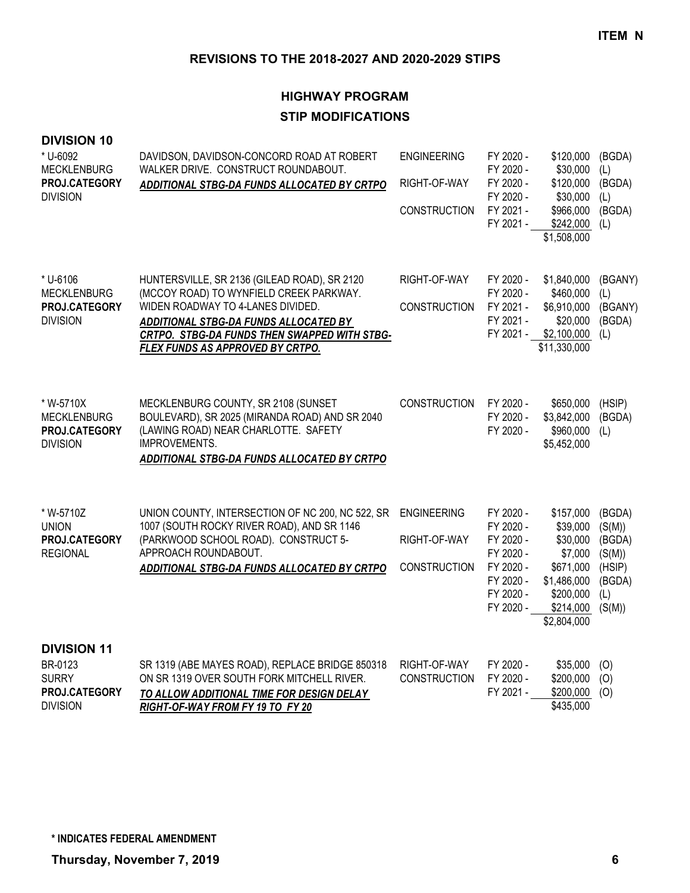## **HIGHWAY PROGRAM STIP MODIFICATIONS**

| <b>DIVISION 10</b><br>* U-6092<br><b>MECKLENBURG</b><br>PROJ.CATEGORY<br><b>DIVISION</b> | DAVIDSON, DAVIDSON-CONCORD ROAD AT ROBERT<br>WALKER DRIVE. CONSTRUCT ROUNDABOUT.<br>ADDITIONAL STBG-DA FUNDS ALLOCATED BY CRTPO                                                                                                                                  | <b>ENGINEERING</b><br>RIGHT-OF-WAY<br><b>CONSTRUCTION</b> | FY 2020 -<br>FY 2020 -<br>FY 2020 -<br>FY 2020 -<br>FY 2021 -<br>FY 2021 -                           | \$120,000<br>\$30,000<br>\$120,000<br>\$30,000<br>\$966,000<br>\$242,000<br>\$1,508,000                           | (BGDA)<br>(L)<br>(BGDA)<br>(L)<br>(BGDA)<br>(L)                           |
|------------------------------------------------------------------------------------------|------------------------------------------------------------------------------------------------------------------------------------------------------------------------------------------------------------------------------------------------------------------|-----------------------------------------------------------|------------------------------------------------------------------------------------------------------|-------------------------------------------------------------------------------------------------------------------|---------------------------------------------------------------------------|
| * U-6106<br><b>MECKLENBURG</b><br>PROJ.CATEGORY<br><b>DIVISION</b>                       | HUNTERSVILLE, SR 2136 (GILEAD ROAD), SR 2120<br>(MCCOY ROAD) TO WYNFIELD CREEK PARKWAY.<br>WIDEN ROADWAY TO 4-LANES DIVIDED.<br><b>ADDITIONAL STBG-DA FUNDS ALLOCATED BY</b><br>CRTPO. STBG-DA FUNDS THEN SWAPPED WITH STBG-<br>FLEX FUNDS AS APPROVED BY CRTPO. | RIGHT-OF-WAY<br><b>CONSTRUCTION</b>                       | FY 2020 -<br>FY 2020 -<br>FY 2021 -<br>FY 2021 -<br>FY 2021 -                                        | \$1,840,000<br>\$460,000<br>\$6,910,000<br>\$20,000<br>\$2,100,000<br>\$11,330,000                                | (BGANY)<br>(L)<br>(BGANY)<br>(BGDA)<br>(L)                                |
| * W-5710X<br><b>MECKLENBURG</b><br>PROJ.CATEGORY<br><b>DIVISION</b>                      | MECKLENBURG COUNTY, SR 2108 (SUNSET<br>BOULEVARD), SR 2025 (MIRANDA ROAD) AND SR 2040<br>(LAWING ROAD) NEAR CHARLOTTE. SAFETY<br>IMPROVEMENTS.<br>ADDITIONAL STBG-DA FUNDS ALLOCATED BY CRTPO                                                                    | CONSTRUCTION                                              | FY 2020 -<br>FY 2020 -<br>FY 2020 -                                                                  | \$650,000<br>\$3,842,000<br>\$960,000<br>\$5,452,000                                                              | (HSIP)<br>(BGDA)<br>(L)                                                   |
| * W-5710Z<br><b>UNION</b><br>PROJ.CATEGORY<br><b>REGIONAL</b>                            | UNION COUNTY, INTERSECTION OF NC 200, NC 522, SR<br>1007 (SOUTH ROCKY RIVER ROAD), AND SR 1146<br>(PARKWOOD SCHOOL ROAD). CONSTRUCT 5-<br>APPROACH ROUNDABOUT.<br>ADDITIONAL STBG-DA FUNDS ALLOCATED BY CRTPO                                                    | <b>ENGINEERING</b><br>RIGHT-OF-WAY<br><b>CONSTRUCTION</b> | FY 2020 -<br>FY 2020 -<br>FY 2020 -<br>FY 2020 -<br>FY 2020 -<br>FY 2020 -<br>FY 2020 -<br>FY 2020 - | \$157,000<br>\$39,000<br>\$30,000<br>\$7,000<br>\$671,000<br>\$1,486,000<br>\$200,000<br>\$214,000<br>\$2,804,000 | (BGDA)<br>(S(M))<br>(BGDA)<br>(S(M))<br>(HSIP)<br>(BGDA)<br>(L)<br>(S(M)) |
| <b>DIVISION 11</b><br>BR-0123<br><b>SURRY</b><br>PROJ.CATEGORY<br><b>DIVISION</b>        | SR 1319 (ABE MAYES ROAD), REPLACE BRIDGE 850318<br>ON SR 1319 OVER SOUTH FORK MITCHELL RIVER.<br>TO ALLOW ADDITIONAL TIME FOR DESIGN DELAY<br>RIGHT-OF-WAY FROM FY 19 TO FY 20                                                                                   | RIGHT-OF-WAY<br><b>CONSTRUCTION</b>                       | FY 2020 -<br>FY 2020 -<br>FY 2021 -                                                                  | \$35,000<br>\$200,000<br>\$200,000<br>\$435,000                                                                   | (O)<br>(O)<br>(O)                                                         |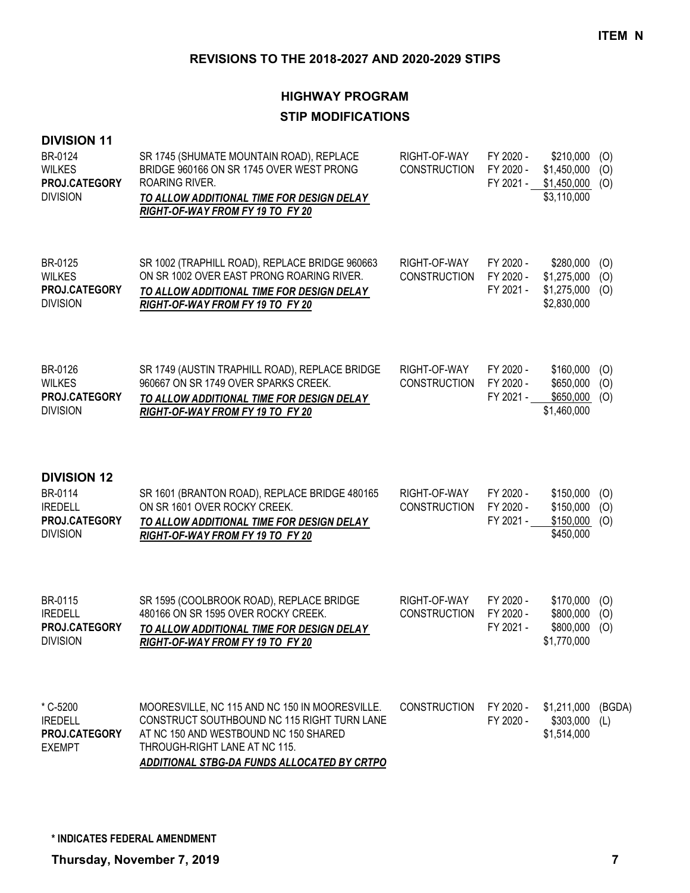#### **REVISIONS TO THE 2018-2027 AND 2020-2029 STIPS**

## **HIGHWAY PROGRAM STIP MODIFICATIONS**

| <b>DIVISION 11</b><br>BR-0124<br><b>WILKES</b><br>PROJ.CATEGORY<br><b>DIVISION</b>         | SR 1745 (SHUMATE MOUNTAIN ROAD), REPLACE<br>BRIDGE 960166 ON SR 1745 OVER WEST PRONG<br>ROARING RIVER.<br>TO ALLOW ADDITIONAL TIME FOR DESIGN DELAY<br>RIGHT-OF-WAY FROM FY 19 TO FY 20 | RIGHT-OF-WAY<br><b>CONSTRUCTION</b> | FY 2020 -<br>FY 2020 -<br>FY 2021 - | \$210,000<br>\$1,450,000<br>\$1,450,000<br>\$3,110,000 | (O)<br>(O)<br>(O) |
|--------------------------------------------------------------------------------------------|-----------------------------------------------------------------------------------------------------------------------------------------------------------------------------------------|-------------------------------------|-------------------------------------|--------------------------------------------------------|-------------------|
| BR-0125<br><b>WILKES</b><br>PROJ.CATEGORY<br><b>DIVISION</b>                               | SR 1002 (TRAPHILL ROAD), REPLACE BRIDGE 960663<br>ON SR 1002 OVER EAST PRONG ROARING RIVER.<br>TO ALLOW ADDITIONAL TIME FOR DESIGN DELAY<br>RIGHT-OF-WAY FROM FY 19 TO FY 20            | RIGHT-OF-WAY<br><b>CONSTRUCTION</b> | FY 2020 -<br>FY 2020 -<br>FY 2021 - | \$280,000<br>\$1,275,000<br>\$1,275,000<br>\$2,830,000 | (O)<br>(0)<br>(O) |
| BR-0126<br><b>WILKES</b><br>PROJ.CATEGORY<br><b>DIVISION</b>                               | SR 1749 (AUSTIN TRAPHILL ROAD), REPLACE BRIDGE<br>960667 ON SR 1749 OVER SPARKS CREEK.<br>TO ALLOW ADDITIONAL TIME FOR DESIGN DELAY<br>RIGHT-OF-WAY FROM FY 19 TO FY 20                 | RIGHT-OF-WAY<br><b>CONSTRUCTION</b> | FY 2020 -<br>FY 2020 -<br>FY 2021 - | \$160,000<br>\$650,000<br>\$650,000<br>\$1,460,000     | (O)<br>(O)<br>(O) |
| <b>DIVISION 12</b><br>BR-0114<br><b>IREDELL</b><br><b>PROJ.CATEGORY</b><br><b>DIVISION</b> | SR 1601 (BRANTON ROAD), REPLACE BRIDGE 480165<br>ON SR 1601 OVER ROCKY CREEK.<br>TO ALLOW ADDITIONAL TIME FOR DESIGN DELAY<br>RIGHT-OF-WAY FROM FY 19 TO FY 20                          | RIGHT-OF-WAY<br><b>CONSTRUCTION</b> | FY 2020 -<br>FY 2020 -<br>FY 2021 - | \$150,000<br>\$150,000<br>\$150,000<br>\$450,000       | (0)<br>(O)<br>(0) |
| BR-0115<br><b>IREDELL</b><br>PROJ.CATEGORY<br><b>DIVISION</b>                              | SR 1595 (COOLBROOK ROAD), REPLACE BRIDGE<br>480166 ON SR 1595 OVER ROCKY CREEK.<br>TO ALLOW ADDITIONAL TIME FOR DESIGN DELAY<br>RIGHT-OF-WAY FROM FY 19 TO FY 20                        | RIGHT-OF-WAY<br><b>CONSTRUCTION</b> | FY 2020 -<br>FY 2020 -<br>FY 2021 - | \$170,000<br>\$800,000<br>\$800,000<br>\$1,770,000     | (O)<br>(O)<br>(O) |
| * C-5200                                                                                   | MOORESVILLE, NC 115 AND NC 150 IN MOORESVILLE.                                                                                                                                          | <b>CONSTRUCTION</b>                 | FY 2020 -                           | \$1,211,000                                            | (BG               |

\$1,211,000 (BGDA) FY 2020 - \$303,000 (L) \$1,514,000

*ADDITIONAL STBG-DA FUNDS ALLOCATED BY CRTPO*

CONSTRUCT SOUTHBOUND NC 115 RIGHT TURN LANE

AT NC 150 AND WESTBOUND NC 150 SHARED

THROUGH-RIGHT LANE AT NC 115.

IREDELL

**PROJ.CATEGORY**

EXEMPT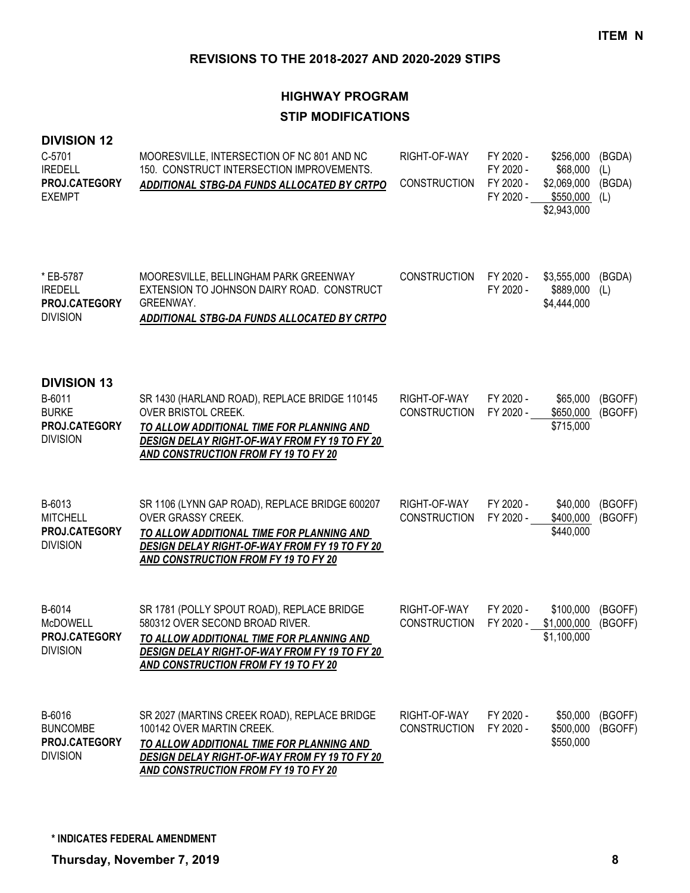# **HIGHWAY PROGRAM STIP MODIFICATIONS**

#### **DIVISION 12**

| C-5701<br><b>IREDELL</b><br>PROJ.CATEGORY<br><b>EXEMPT</b>                       | MOORESVILLE, INTERSECTION OF NC 801 AND NC<br>150. CONSTRUCT INTERSECTION IMPROVEMENTS.<br>ADDITIONAL STBG-DA FUNDS ALLOCATED BY CRTPO                                                                                     | RIGHT-OF-WAY<br><b>CONSTRUCTION</b> | FY 2020 -<br>FY 2020 -<br>FY 2020 -<br>FY 2020 - | \$256,000<br>\$68,000<br>\$2,069,000<br>\$550,000<br>\$2,943,000 | (BGDA)<br>(L)<br>(BGDA)<br>(L) |
|----------------------------------------------------------------------------------|----------------------------------------------------------------------------------------------------------------------------------------------------------------------------------------------------------------------------|-------------------------------------|--------------------------------------------------|------------------------------------------------------------------|--------------------------------|
| * EB-5787<br><b>IREDELL</b><br>PROJ.CATEGORY<br><b>DIVISION</b>                  | MOORESVILLE, BELLINGHAM PARK GREENWAY<br>EXTENSION TO JOHNSON DAIRY ROAD. CONSTRUCT<br>GREENWAY.<br><b>ADDITIONAL STBG-DA FUNDS ALLOCATED BY CRTPO</b>                                                                     | <b>CONSTRUCTION</b>                 | FY 2020 -<br>FY 2020 -                           | \$3,555,000<br>\$889,000<br>\$4,444,000                          | (BGDA)<br>(L)                  |
| <b>DIVISION 13</b><br>B-6011<br><b>BURKE</b><br>PROJ.CATEGORY<br><b>DIVISION</b> | SR 1430 (HARLAND ROAD), REPLACE BRIDGE 110145<br>OVER BRISTOL CREEK.<br>TO ALLOW ADDITIONAL TIME FOR PLANNING AND<br><b>DESIGN DELAY RIGHT-OF-WAY FROM FY 19 TO FY 20</b><br>AND CONSTRUCTION FROM FY 19 TO FY 20          | RIGHT-OF-WAY<br><b>CONSTRUCTION</b> | FY 2020 -<br>FY 2020 -                           | \$65,000<br>\$650,000<br>\$715,000                               | (BGOFF)<br>(BGOFF)             |
| B-6013<br><b>MITCHELL</b><br>PROJ.CATEGORY<br><b>DIVISION</b>                    | SR 1106 (LYNN GAP ROAD), REPLACE BRIDGE 600207<br>OVER GRASSY CREEK.<br>TO ALLOW ADDITIONAL TIME FOR PLANNING AND<br>DESIGN DELAY RIGHT-OF-WAY FROM FY 19 TO FY 20<br>AND CONSTRUCTION FROM FY 19 TO FY 20                 | RIGHT-OF-WAY<br><b>CONSTRUCTION</b> | FY 2020 -<br>FY 2020 -                           | \$40,000<br>\$400,000<br>\$440,000                               | (BGOFF)<br>(BGOFF)             |
| B-6014<br><b>McDOWELL</b><br><b>PROJ.CATEGORY</b><br><b>DIVISION</b>             | SR 1781 (POLLY SPOUT ROAD), REPLACE BRIDGE<br>580312 OVER SECOND BROAD RIVER.<br>TO ALLOW ADDITIONAL TIME FOR PLANNING AND<br><b>DESIGN DELAY RIGHT-OF-WAY FROM FY 19 TO FY 20</b><br>AND CONSTRUCTION FROM FY 19 TO FY 20 | RIGHT-OF-WAY<br><b>CONSTRUCTION</b> | FY 2020 -<br>FY 2020 -                           | \$100,000<br>\$1,000,000<br>\$1,100,000                          | (BGOFF)<br>(BGOFF)             |
| B-6016<br><b>BUNCOMBE</b><br>PROJ.CATEGORY<br><b>DIVISION</b>                    | SR 2027 (MARTINS CREEK ROAD), REPLACE BRIDGE<br>100142 OVER MARTIN CREEK.<br>TO ALLOW ADDITIONAL TIME FOR PLANNING AND<br><b>DESIGN DELAY RIGHT-OF-WAY FROM FY 19 TO FY 20</b><br>AND CONSTRUCTION FROM FY 19 TO FY 20     | RIGHT-OF-WAY<br><b>CONSTRUCTION</b> | FY 2020 -<br>FY 2020 -                           | \$50,000<br>\$500,000<br>\$550,000                               | (BGOFF)<br>(BGOFF)             |

**\* INDICATES FEDERAL AMENDMENT**